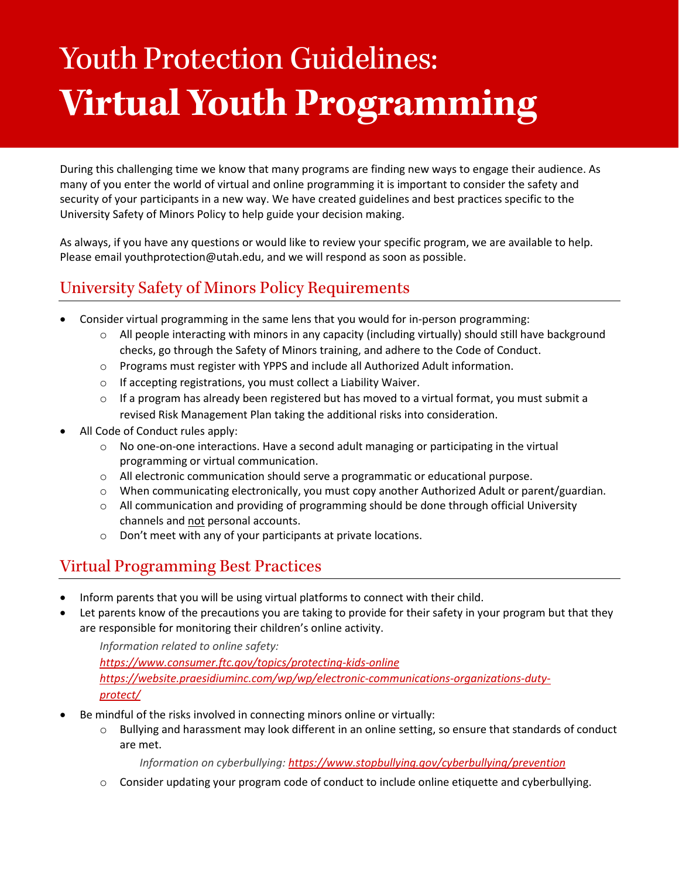# Youth Protection Guidelines: **Virtual Youth Programming**

During this challenging time we know that many programs are finding new ways to engage their audience. As many of you enter the world of virtual and online programming it is important to consider the safety and security of your participants in a new way. We have created guidelines and best practices specific to the University Safety of Minors Policy to help guide your decision making.

As always, if you have any questions or would like to review your specific program, we are available to help. Please email youthprotection@utah.edu, and we will respond as soon as possible.

## University Safety of Minors Policy Requirements

- Consider virtual programming in the same lens that you would for in-person programming:
	- $\circ$  All people interacting with minors in any capacity (including virtually) should still have background checks, go through the Safety of Minors training, and adhere to the Code of Conduct.
	- o Programs must register with YPPS and include all Authorized Adult information.
	- $\circ$  If accepting registrations, you must collect a Liability Waiver.
	- $\circ$  If a program has already been registered but has moved to a virtual format, you must submit a revised Risk Management Plan taking the additional risks into consideration.
- All Code of Conduct rules apply:
	- $\circ$  No one-on-one interactions. Have a second adult managing or participating in the virtual programming or virtual communication.
	- o All electronic communication should serve a programmatic or educational purpose.
	- $\circ$  When communicating electronically, you must copy another Authorized Adult or parent/guardian.
	- $\circ$  All communication and providing of programming should be done through official University channels and not personal accounts.
	- o Don't meet with any of your participants at private locations.

#### Virtual Programming Best Practices

- Inform parents that you will be using virtual platforms to connect with their child.
- Let parents know of the precautions you are taking to provide for their safety in your program but that they are responsible for monitoring their children's online activity.

*Information related to online safety: <https://www.consumer.ftc.gov/topics/protecting-kids-online> [https://website.praesidiuminc.com/wp/wp/electronic-communications-organizations-duty](https://website.praesidiuminc.com/wp/wp/electronic-communications-organizations-duty-protect/)[protect/](https://website.praesidiuminc.com/wp/wp/electronic-communications-organizations-duty-protect/)*

- Be mindful of the risks involved in connecting minors online or virtually:
	- $\circ$  Bullying and harassment may look different in an online setting, so ensure that standards of conduct are met.

*Information on cyberbullying:<https://www.stopbullying.gov/cyberbullying/prevention>*

 $\circ$  Consider updating your program code of conduct to include online etiquette and cyberbullying.